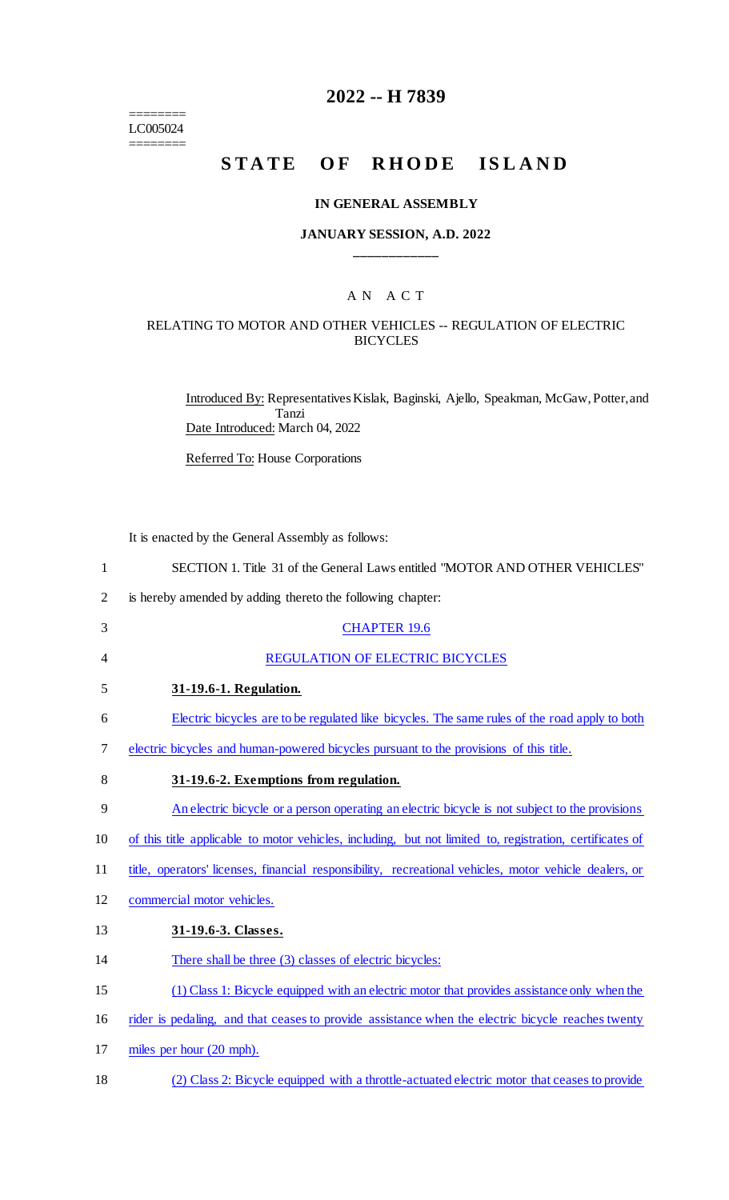======== LC005024 ========

## **2022 -- H 7839**

# **STATE OF RHODE ISLAND**

#### **IN GENERAL ASSEMBLY**

#### **JANUARY SESSION, A.D. 2022 \_\_\_\_\_\_\_\_\_\_\_\_**

#### A N A C T

#### RELATING TO MOTOR AND OTHER VEHICLES -- REGULATION OF ELECTRIC **BICYCLES**

Introduced By: Representatives Kislak, Baginski, Ajello, Speakman, McGaw, Potter, and Tanzi Date Introduced: March 04, 2022

Referred To: House Corporations

It is enacted by the General Assembly as follows:

| $\mathbf{1}$   | SECTION 1. Title 31 of the General Laws entitled "MOTOR AND OTHER VEHICLES"                              |
|----------------|----------------------------------------------------------------------------------------------------------|
| $\overline{2}$ | is hereby amended by adding thereto the following chapter:                                               |
| 3              | <b>CHAPTER 19.6</b>                                                                                      |
| 4              | REGULATION OF ELECTRIC BICYCLES                                                                          |
| 5              | 31-19.6-1. Regulation.                                                                                   |
| 6              | Electric bicycles are to be regulated like bicycles. The same rules of the road apply to both            |
| 7              | electric bicycles and human-powered bicycles pursuant to the provisions of this title.                   |
| 8              | 31-19.6-2. Exemptions from regulation.                                                                   |
| 9              | An electric bicycle or a person operating an electric bicycle is not subject to the provisions           |
| 10             | of this title applicable to motor vehicles, including, but not limited to, registration, certificates of |
| 11             | title, operators' licenses, financial responsibility, recreational vehicles, motor vehicle dealers, or   |
| 12             | commercial motor vehicles.                                                                               |
| 13             | 31-19.6-3. Classes.                                                                                      |
| 14             | There shall be three (3) classes of electric bicycles:                                                   |
| 15             | (1) Class 1: Bicycle equipped with an electric motor that provides assistance only when the              |
| 16             | rider is pedaling, and that ceases to provide assistance when the electric bicycle reaches twenty        |
| 17             | miles per hour (20 mph).                                                                                 |
|                |                                                                                                          |

18 (2) Class 2: Bicycle equipped with a throttle-actuated electric motor that ceases to provide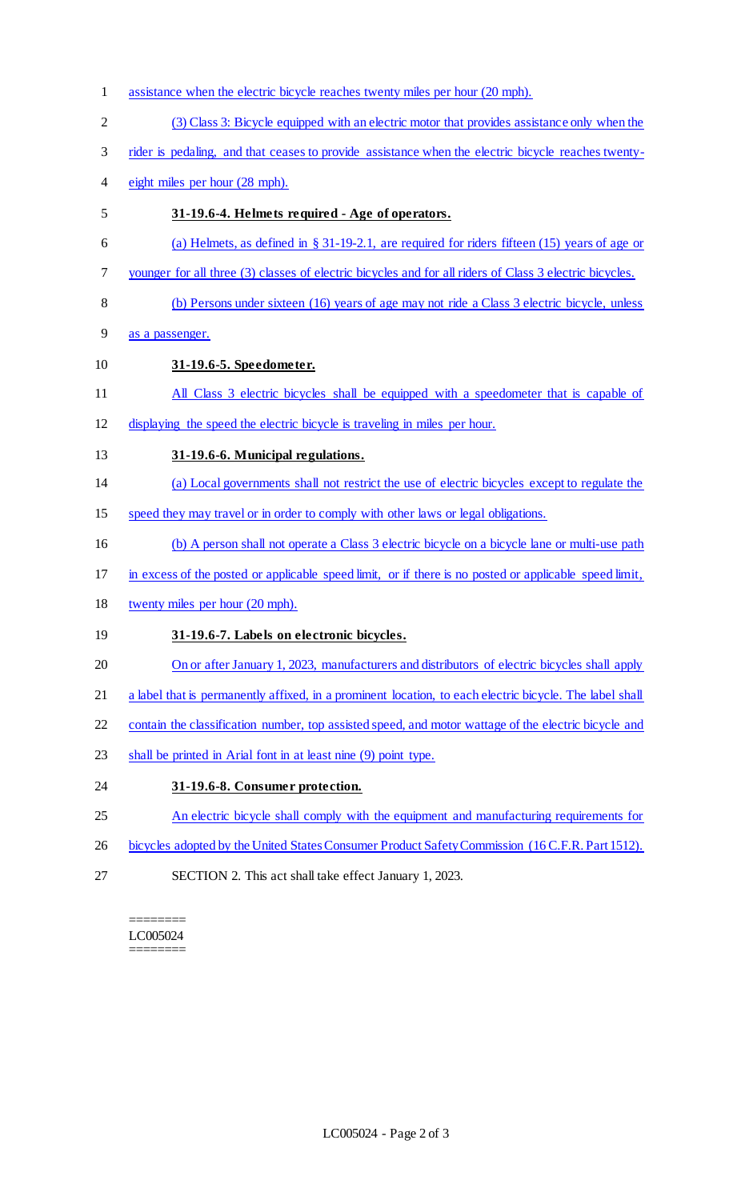1 assistance when the electric bicycle reaches twenty miles per hour (20 mph). (3) Class 3: Bicycle equipped with an electric motor that provides assistance only when the rider is pedaling, and that ceases to provide assistance when the electric bicycle reaches twenty- eight miles per hour (28 mph). **31-19.6-4. Helmets required - Age of operators.**  (a) Helmets, as defined in § 31-19-2.1, are required for riders fifteen (15) years of age or younger for all three (3) classes of electric bicycles and for all riders of Class 3 electric bicycles. 8 (b) Persons under sixteen (16) years of age may not ride a Class 3 electric bicycle, unless as a passenger. **31-19.6-5. Speedometer.**  11 All Class 3 electric bicycles shall be equipped with a speedometer that is capable of displaying the speed the electric bicycle is traveling in miles per hour. **31-19.6-6. Municipal regulations.**  (a) Local governments shall not restrict the use of electric bicycles except to regulate the speed they may travel or in order to comply with other laws or legal obligations. (b) A person shall not operate a Class 3 electric bicycle on a bicycle lane or multi-use path in excess of the posted or applicable speed limit, or if there is no posted or applicable speed limit, twenty miles per hour (20 mph). **31-19.6-7. Labels on electronic bicycles.**  20 On or after January 1, 2023, manufacturers and distributors of electric bicycles shall apply 21 a label that is permanently affixed, in a prominent location, to each electric bicycle. The label shall 22 contain the classification number, top assisted speed, and motor wattage of the electric bicycle and shall be printed in Arial font in at least nine (9) point type. **31-19.6-8. Consumer protection.**  25 An electric bicycle shall comply with the equipment and manufacturing requirements for 26 bicycles adopted by the United States Consumer Product Safety Commission (16 C.F.R. Part 1512). SECTION 2. This act shall take effect January 1, 2023.

======== LC005024

========